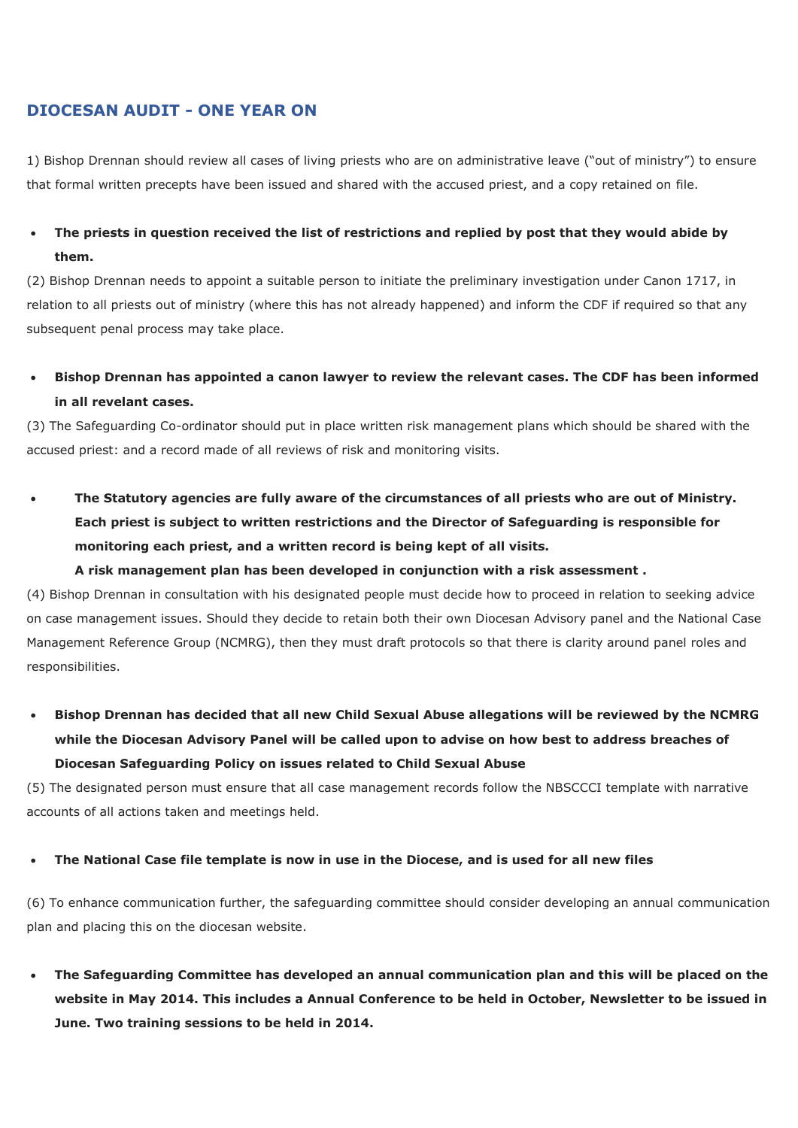## **DIOCESAN AUDIT - ONE YEAR ON**

1) Bishop Drennan should review all cases of living priests who are on administrative leave ("out of ministry") to ensure that formal written precepts have been issued and shared with the accused priest, and a copy retained on file.

# **The priests in question received the list of restrictions and replied by post that they would abide by them.**

(2) Bishop Drennan needs to appoint a suitable person to initiate the preliminary investigation under Canon 1717, in relation to all priests out of ministry (where this has not already happened) and inform the CDF if required so that any subsequent penal process may take place.

## **Bishop Drennan has appointed a canon lawyer to review the relevant cases. The CDF has been informed in all revelant cases.**

(3) The Safeguarding Co-ordinator should put in place written risk management plans which should be shared with the accused priest: and a record made of all reviews of risk and monitoring visits.

 **The Statutory agencies are fully aware of the circumstances of all priests who are out of Ministry. Each priest is subject to written restrictions and the Director of Safeguarding is responsible for monitoring each priest, and a written record is being kept of all visits.**

### **A risk management plan has been developed in conjunction with a risk assessment .**

(4) Bishop Drennan in consultation with his designated people must decide how to proceed in relation to seeking advice on case management issues. Should they decide to retain both their own Diocesan Advisory panel and the National Case Management Reference Group (NCMRG), then they must draft protocols so that there is clarity around panel roles and responsibilities.

 **Bishop Drennan has decided that all new Child Sexual Abuse allegations will be reviewed by the NCMRG while the Diocesan Advisory Panel will be called upon to advise on how best to address breaches of Diocesan Safeguarding Policy on issues related to Child Sexual Abuse**

(5) The designated person must ensure that all case management records follow the NBSCCCI template with narrative accounts of all actions taken and meetings held.

### **The National Case file template is now in use in the Diocese, and is used for all new files**

(6) To enhance communication further, the safeguarding committee should consider developing an annual communication plan and placing this on the diocesan website.

 **The Safeguarding Committee has developed an annual communication plan and this will be placed on the website in May 2014. This includes a Annual Conference to be held in October, Newsletter to be issued in June. Two training sessions to be held in 2014.**